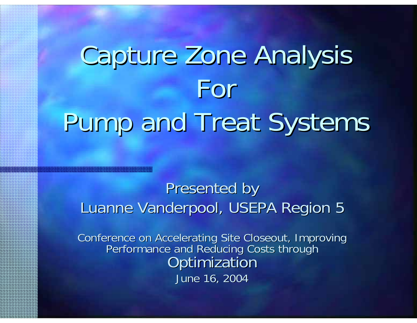# Capture Zone Analysis For Pump and Treat Systems

#### Presented by Luanne Vanderpool, USEPA Region 5

Conference on Accelerating Site Closeout, Improving<br>Performance and Reducing Costs through **Optimization** June 16, 2004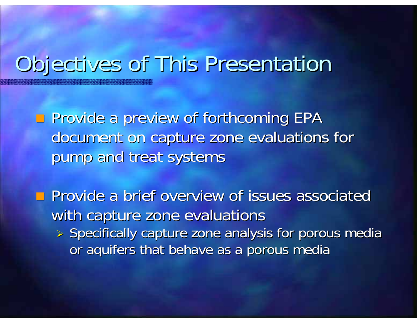#### Objectives of This Presentation

 $\blacksquare$  Provide a preview of forthcoming EPA document on capture zone evaluations for pump and treat systems

 $\blacksquare$  Provide a brief overview of issues associated with capture zone evaluations  $\triangleright$  Specifically capture zone analysis for porous media or aquifers that behave as a porous media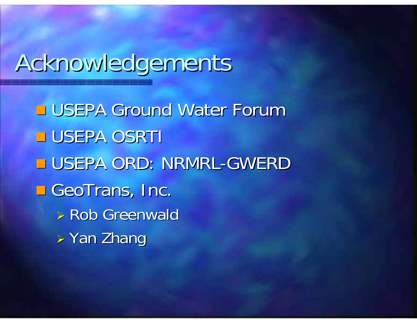### Acknowledgements Acknowledgements

**USEPA Ground Water Forum USEPA OSRTI**  $\square$  USEPA ORD: NRMRL-GWERD  $\square$  GeoTrans, Inc.  $\triangleright$  Rob Greenwald ¾ Yan Zhang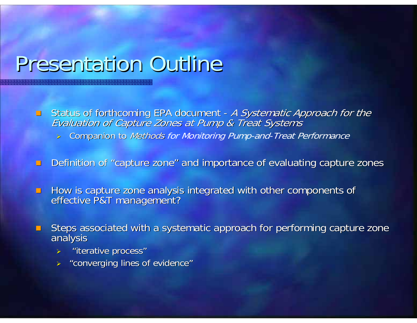#### Presentation Outline

- $\blacksquare$ **EXTA:** Status of forthcoming EPA document -Status of forthcoming EPA document - *A Systematic Approach for the*<br>*Evaluation of Capture Zones at Pump & Treat Systems* 
	- > Companion to Methods for Monitoring Pump-and-Treat Performance
- $\Box$ Definition of "capture zone" and importance of evaluating capture zones
- $\Box$ How is capture zone analysis integrated with other components of effective P&T management?
- п Steps associated with a systematic approach for performing capture zone analysis
	- ¾"iterative process" "iterative process"
	- $\triangleright$  "converging lines of evidence"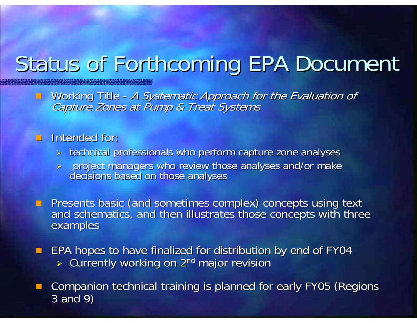#### Status of Forthcoming EPA Document

**Norking Title I** -Working Title - A Systematic Approach for the Evaluation of<br>Capture Zones at Pump & Treat Systems

#### Intended for: Intended for:

- > technical professionals who perform capture zone analyses
- ¾ project managers who review those analyses and/or make project managers who review those analyses and/or make decisions based on those analyses decisions based on those analyses

Presents basic (and sometimes complex) concepts using text<br>and schematics, and then illustrates those concepts with three<br>examples

**EPA hopes to have finalized for distribution by end of FY04** > Currently working on 2<sup>nd</sup> major revision

p. Companion technical training is planned for early FY05 (Regions 3 and 9)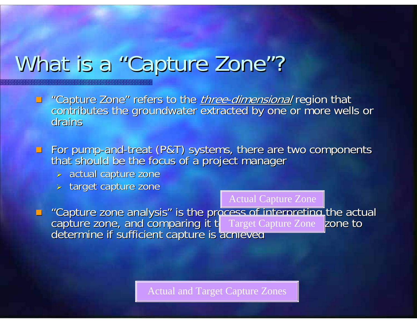#### What is a "Capture Zone"?

- $\Box$ "Capture Zone" refers to the <u>*three-dimensional*</u> region that<br>contributes the groundwater extracted by one or more wells or<br>drains drains
- $\blacksquare$  For pump-and For pump-and-treat (P&T) systems, there are two components that should be the focus of a project manager
	- $>$  actual capture zone
	- > target capture zone

Actual Capture Zone

■ "Capture zone analysis" is the process of interpreting the actual<br>capture zone, and comparing it t<br>determine if sufficient capture is acnieved

Actual and Target Capture Zones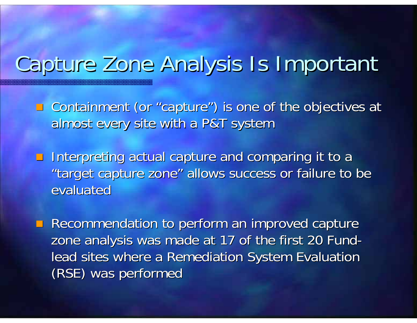#### Capture Zone Analysis Is Important Capture Zone Analysis Is Important

**Quotainment (or "capture") is one of the objectives at** almost every site with a P&T system

**Interpreting actual capture and comparing it to a** "target capture zone" allows success or failure to be evaluated

**Recommendation to perform an improved capture** zone analysis was made at 17 of the first 20 Fund lead sites where a Remediation System Evaluation (RSE) was performed (RSE) was performed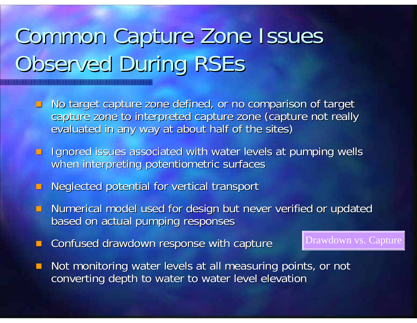## Common Capture Zone Issues Observed During RSEs

- $\blacksquare$  No target capture zone defined, or no comparison of target capture zone to interpreted capture zone (capture not really evaluated in any way at about half of the sites)
- **If** Ignored issues associated with water levels at pumping wells when interpreting potentiometric surfaces
- **Neglected potential for vertical transport**
- **Numerical model used for design but never verified or updated but never verified or updated** based on actual pumping responses based on actual pumping responses
- Confused drawdown response with capture

**Not monitoring water levels at all measuring points, or not all measuring points** converting depth to water to water level elevation

Drawdown vs. Capture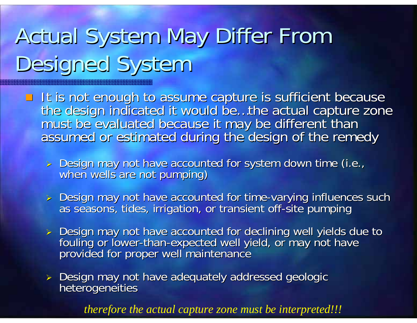## Actual System May Differ From Designed System

- It is not enough to assume capture is sufficient because the design indicated it would be...the actual capture zone<br>must be evaluated because it may be different than<br>assumed or estimated during the design of the remedy
	- > Design may not have accounted for system down time (i.e., when wells are not pumping)
	- > Design may not have accounted for time as seasons, tides, irrigation, or transient off-site pumping
	- > Design may not have accounted for declining well yields due to fouling or lower-than-expected well yield, or may not have fouling or lower-than-expected well yield, or may not have<br>provided for proper well maintenance
	- ¾ Design may not have adequately addressed geologic Design may not have adequately addressed geologic heterogeneities heterogeneities

*therefore the actual capture zone must be interpreted!!!*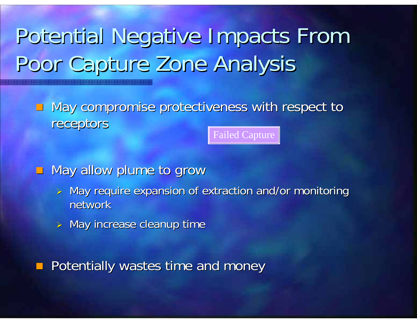#### Potential Negative Impacts From Poor Capture Zone Analysis

**May compromise protectiveness with respect to May compromise protectiveness with respect to** receptors receptors Failed Capture

 $\blacksquare$  May allow plume to grow

- $>$  May require expansion of extraction and/or monitoring network
- $\triangleright$  May increase cleanup time

Potentially wastes time and money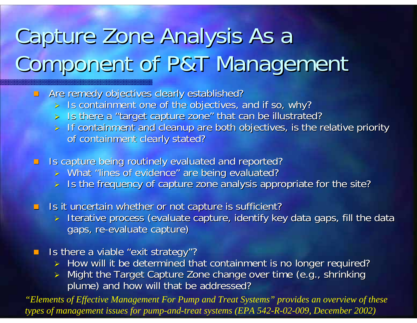### Capture Zone Analysis As a Component of P&T Management

 $\blacksquare$ Are remedy objectives clearly established?

- $>$  Is containment one of the objectives, and if so, why?
- > Is there a "target capture zone" that can be illustrated?
- $>$  If containment and cleanup are both objectives, is the relative priority of containment clearly stated?
- **If Is capture being routinely evaluated and reported?** 
	- > What "lines of evidence" are being evaluated?
	- ¾Is the frequency of capture zone analysis appropriate for the site?
- $\Box$ Is it uncertain whether or not capture is sufficient?
	- $\triangleright$  Iterative process (evaluate capture, identify key data gaps, fill the data gaps, re-evaluate capture)
- $\blacksquare$ Is there a viable "exit strategy"?
	- > How will it be determined that containment is no longer required?
	- $\blacktriangleright$ Might the Target Capture Zone change over time (e.g., shrinking plume) and how will that be addressed?

*"Elements of Effective Management For Pump and Treat Systems" provides an overview of these types of management issues for pump-and-treat systems (EPA 542-R-02-009, December 2002)*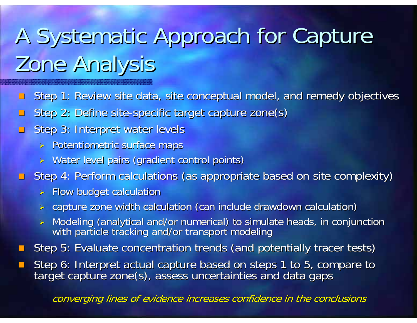## A Systematic Approach for Capture Zone Analysis

- $\Box$ Step 1: Review site data, site conceptual model, and remedy objectives
- $\Box$ ■ Step 2: Define site-specific target capture zone(s)
- $\Box$ Step 3: Interpret water levels
	- > Potentiometric surface maps
	- > Water level pairs (gradient control points)
- **E** Step 4: Perform calculations (as appropriate based on site complexity)
	- $>$  Flow budget calculation
	- > capture zone width calculation (can include drawdown calculation)
	- > Modeling (analytical and/or numerical) to simulate heads, in conjunction<br>with particle tracking and/or transport modeling
- $\mathbb{R}^2$ Step 5: Evaluate concentration trends (and potentially tracer tests)
- $\mathcal{L}_{\mathcal{A}}$ Step 6: Interpret actual capture based on steps 1 to 5, compare to target capture zone(s), assess uncertainties and data gaps

converging lines of evidence increases confidence in the conclusions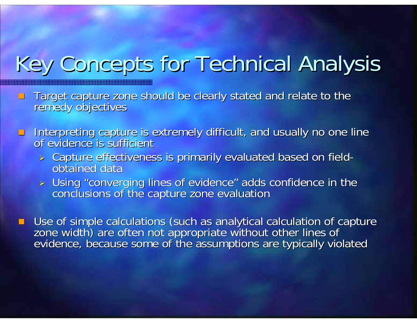#### Key Concepts for Technical Analysis

- **Target capture zone should be clearly stated and relate to the Target capture zone should be clearly stated and relate to the remedy objectives**
- $\Box$ Interpreting capture is extremely difficult, and usually no one line of evidence is sufficient
	- $\triangleright$  Capture effectiveness is primarily evaluated based on field obtained data
	- ¾ Using "converging lines of evidence" adds confidence in the Using "converging lines of evidence" adds confidence in the conclusions of the capture zone evaluation conclusions of the capture zone evaluation

**Use of simple calculations (such as analytical calculation of capture** zone width) are often not appropriate without other lines of<br>evidence, because some of the assumptions are typically violated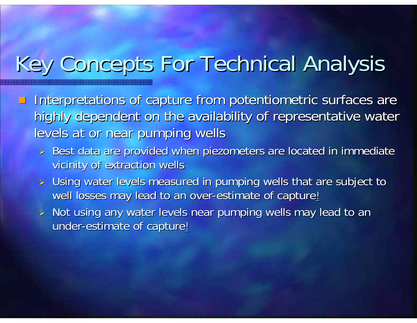#### Key Concepts For Technical Analysis

- Interpretations of capture from potentiometric surfaces are highly dependent on the availability of representative water levels at or near pumping wells
	- > Best data are provided when piezometers are located in immediate vicinity of extraction wells
	- $\triangleright$  Using water levels measured in pumping wells that are subject to well losses may lead to an over-estimate of capture!
	- $\triangleright$  Not using any water levels near pumping wells may lead to an under-estimate of capture<u>!</u>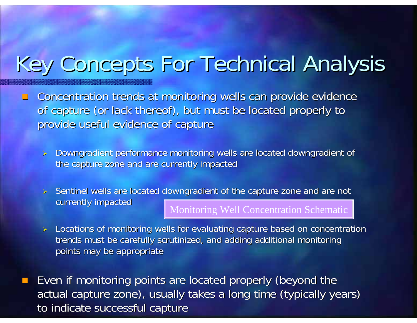#### Key Concepts For Technical Analysis

 $\Box$ Concentration trends at monitoring wells can provide evidence of capture (or lack thereof), but must be located properly to provide useful evidence of capture

 $\blacktriangleright$ Downgradient performance monitoring wells are located downgradient of the capture zone and are currently impacted

 $\triangleright$  Sentinel wells are located downgradient of the capture zone and are not currently impacted

Monitoring Well Concentration Schematic

 $\blacktriangleright$ Locations of monitoring wells for evaluating capture based on concentration trends must be carefully scrutinized, and adding additional monitoring points may be appropriate

e. Even if monitoring points are located properly (beyond the actual capture zone), usually takes a long time (typically years) to indicate successful capture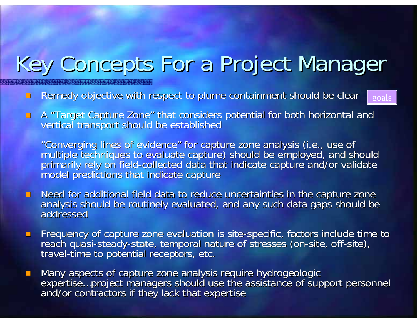#### Key Concepts For a Project Manager

- $\Box$ Remedy objective with respect to plume containment should be clear
- $\blacksquare$ A "Target Capture Zone" that considers potential for both horizontal and<br>vertical transport should be established

"Converging lines of evidence" for capture zone analysis (i.e., use of<br>multiple techniques to evaluate capture) should be employed, and should<br>primarily rely on field-collected data that indicate capture and/or validate primarily rely on field-collected data that indicate capture and/or validate<br>model predictions that indicate capture

goals

- Need for additional field data to reduce uncertainties in the capture zone analysis should be routinely evaluated, and any such data gaps should be addressed
- **Figuency of capture zone evaluation is site Frequency of capture zone evaluation is site** Frequency of capture zone evaluation is site-specific, factors include time to<br>reach quasi-steady-state, temporal nature of stresses (on-site, off-site), travel-time to potential receptors, etc.
- $\mathcal{L}$ Many aspects of capture zone analysis require hydrogeologic<br>expertise...project managers should use the assistance of support personnel<br>and/or contractors if they lack that expertise